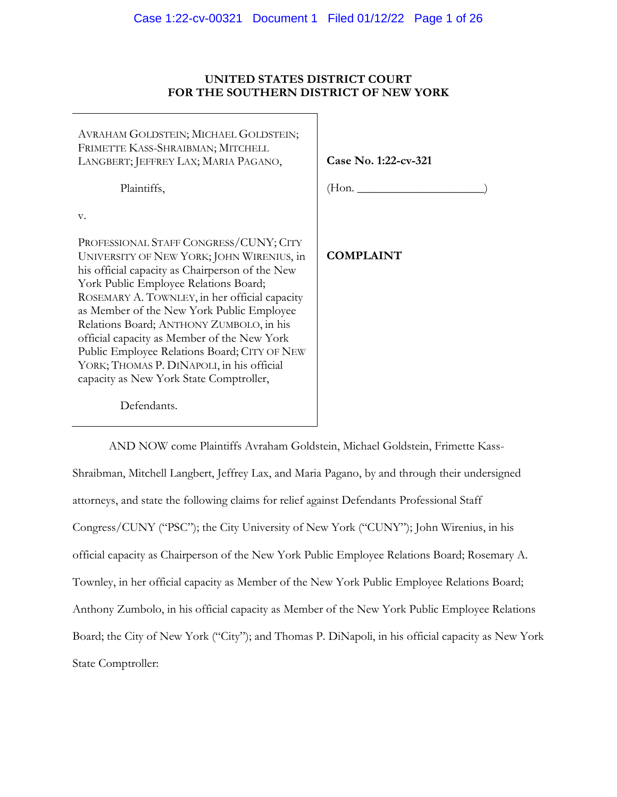## **UNITED STATES DISTRICT COURT FOR THE SOUTHERN DISTRICT OF NEW YORK**

| AVRAHAM GOLDSTEIN; MICHAEL GOLDSTEIN;<br>FRIMETTE KASS-SHRAIBMAN; MITCHELL<br>LANGBERT; JEFFREY LAX; MARIA PAGANO,                     | Case No. 1:22-cv-321 |
|----------------------------------------------------------------------------------------------------------------------------------------|----------------------|
| Plaintiffs,                                                                                                                            | (Hon. _______        |
| v.                                                                                                                                     |                      |
| PROFESSIONAL STAFF CONGRESS/CUNY; CITY<br>UNIVERSITY OF NEW YORK; JOHN WIRENIUS, in<br>his official capacity as Chairperson of the New | <b>COMPLAINT</b>     |
| York Public Employee Relations Board;                                                                                                  |                      |
| ROSEMARY A. TOWNLEY, in her official capacity<br>as Member of the New York Public Employee                                             |                      |
| Relations Board; ANTHONY ZUMBOLO, in his<br>official capacity as Member of the New York                                                |                      |
| Public Employee Relations Board; CITY OF NEW                                                                                           |                      |
| YORK; THOMAS P. DINAPOLI, in his official                                                                                              |                      |
| capacity as New York State Comptroller,                                                                                                |                      |
| Defendants.                                                                                                                            |                      |

AND NOW come Plaintiffs Avraham Goldstein, Michael Goldstein, Frimette Kass-Shraibman, Mitchell Langbert, Jeffrey Lax, and Maria Pagano, by and through their undersigned attorneys, and state the following claims for relief against Defendants Professional Staff Congress/CUNY ("PSC"); the City University of New York ("CUNY"); John Wirenius, in his official capacity as Chairperson of the New York Public Employee Relations Board; Rosemary A. Townley, in her official capacity as Member of the New York Public Employee Relations Board; Anthony Zumbolo, in his official capacity as Member of the New York Public Employee Relations Board; the City of New York ("City"); and Thomas P. DiNapoli, in his official capacity as New York State Comptroller: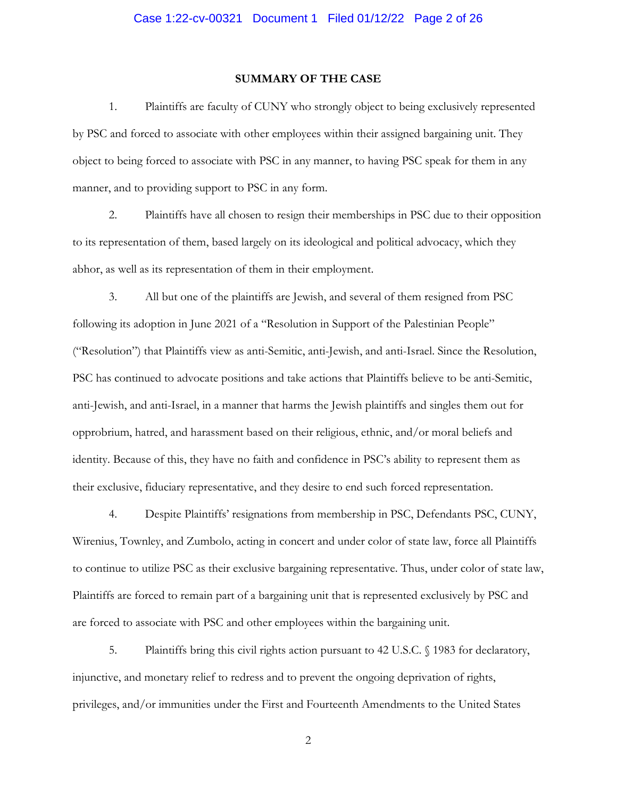#### **SUMMARY OF THE CASE**

1. Plaintiffs are faculty of CUNY who strongly object to being exclusively represented by PSC and forced to associate with other employees within their assigned bargaining unit. They object to being forced to associate with PSC in any manner, to having PSC speak for them in any manner, and to providing support to PSC in any form.

2. Plaintiffs have all chosen to resign their memberships in PSC due to their opposition to its representation of them, based largely on its ideological and political advocacy, which they abhor, as well as its representation of them in their employment.

3. All but one of the plaintiffs are Jewish, and several of them resigned from PSC following its adoption in June 2021 of a "Resolution in Support of the Palestinian People" ("Resolution") that Plaintiffs view as anti-Semitic, anti-Jewish, and anti-Israel. Since the Resolution, PSC has continued to advocate positions and take actions that Plaintiffs believe to be anti-Semitic, anti-Jewish, and anti-Israel, in a manner that harms the Jewish plaintiffs and singles them out for opprobrium, hatred, and harassment based on their religious, ethnic, and/or moral beliefs and identity. Because of this, they have no faith and confidence in PSC's ability to represent them as their exclusive, fiduciary representative, and they desire to end such forced representation.

4. Despite Plaintiffs' resignations from membership in PSC, Defendants PSC, CUNY, Wirenius, Townley, and Zumbolo, acting in concert and under color of state law, force all Plaintiffs to continue to utilize PSC as their exclusive bargaining representative. Thus, under color of state law, Plaintiffs are forced to remain part of a bargaining unit that is represented exclusively by PSC and are forced to associate with PSC and other employees within the bargaining unit.

5. Plaintiffs bring this civil rights action pursuant to 42 U.S.C. § 1983 for declaratory, injunctive, and monetary relief to redress and to prevent the ongoing deprivation of rights, privileges, and/or immunities under the First and Fourteenth Amendments to the United States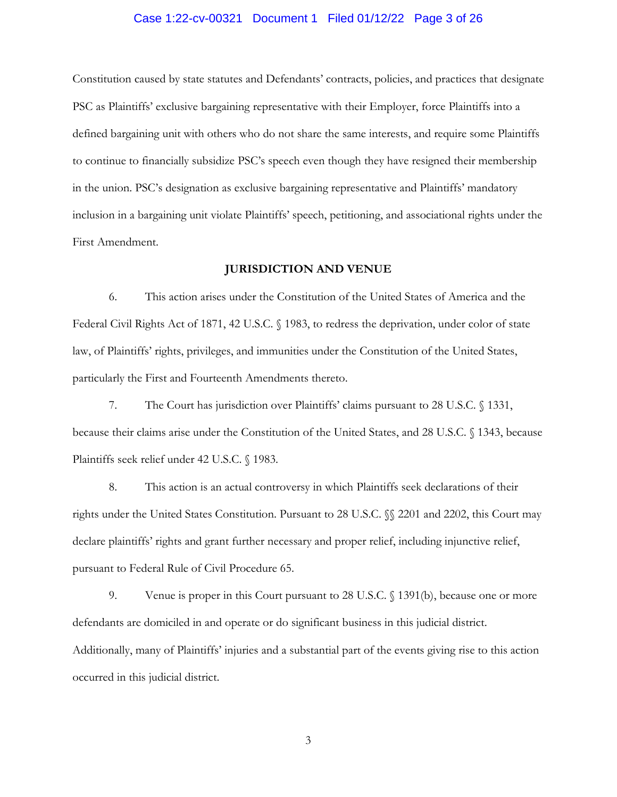# Case 1:22-cv-00321 Document 1 Filed 01/12/22 Page 3 of 26

Constitution caused by state statutes and Defendants' contracts, policies, and practices that designate PSC as Plaintiffs' exclusive bargaining representative with their Employer, force Plaintiffs into a defined bargaining unit with others who do not share the same interests, and require some Plaintiffs to continue to financially subsidize PSC's speech even though they have resigned their membership in the union. PSC's designation as exclusive bargaining representative and Plaintiffs' mandatory inclusion in a bargaining unit violate Plaintiffs' speech, petitioning, and associational rights under the First Amendment.

#### **JURISDICTION AND VENUE**

6. This action arises under the Constitution of the United States of America and the Federal Civil Rights Act of 1871, 42 U.S.C. § 1983, to redress the deprivation, under color of state law, of Plaintiffs' rights, privileges, and immunities under the Constitution of the United States, particularly the First and Fourteenth Amendments thereto.

7. The Court has jurisdiction over Plaintiffs' claims pursuant to 28 U.S.C. § 1331, because their claims arise under the Constitution of the United States, and 28 U.S.C. § 1343, because Plaintiffs seek relief under 42 U.S.C. § 1983.

8. This action is an actual controversy in which Plaintiffs seek declarations of their rights under the United States Constitution. Pursuant to 28 U.S.C. §§ 2201 and 2202, this Court may declare plaintiffs' rights and grant further necessary and proper relief, including injunctive relief, pursuant to Federal Rule of Civil Procedure 65.

9. Venue is proper in this Court pursuant to 28 U.S.C. § 1391(b), because one or more defendants are domiciled in and operate or do significant business in this judicial district. Additionally, many of Plaintiffs' injuries and a substantial part of the events giving rise to this action occurred in this judicial district.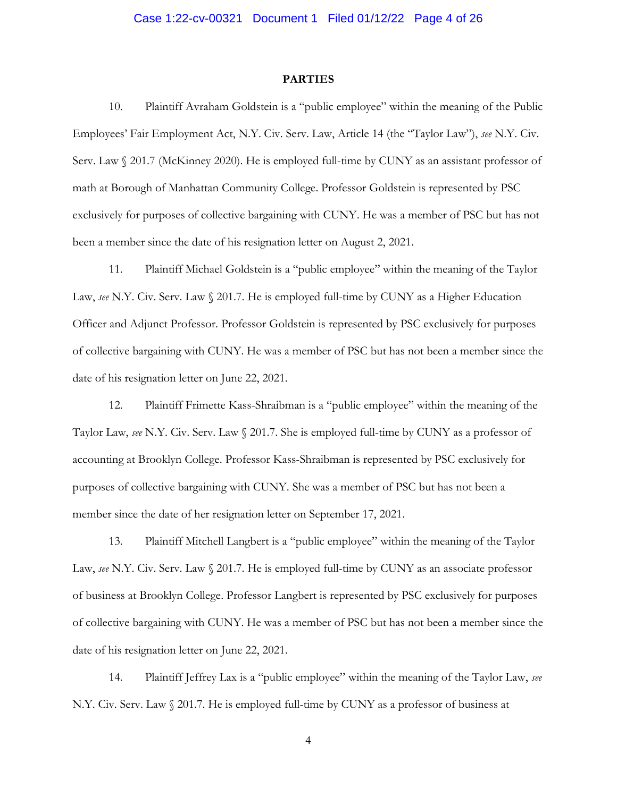#### **PARTIES**

10. Plaintiff Avraham Goldstein is a "public employee" within the meaning of the Public Employees' Fair Employment Act, N.Y. Civ. Serv. Law, Article 14 (the "Taylor Law"), *see* N.Y. Civ. Serv. Law § 201.7 (McKinney 2020). He is employed full-time by CUNY as an assistant professor of math at Borough of Manhattan Community College. Professor Goldstein is represented by PSC exclusively for purposes of collective bargaining with CUNY. He was a member of PSC but has not been a member since the date of his resignation letter on August 2, 2021.

11. Plaintiff Michael Goldstein is a "public employee" within the meaning of the Taylor Law, *see* N.Y. Civ. Serv. Law § 201.7. He is employed full-time by CUNY as a Higher Education Officer and Adjunct Professor. Professor Goldstein is represented by PSC exclusively for purposes of collective bargaining with CUNY. He was a member of PSC but has not been a member since the date of his resignation letter on June 22, 2021.

12. Plaintiff Frimette Kass-Shraibman is a "public employee" within the meaning of the Taylor Law, *see* N.Y. Civ. Serv. Law § 201.7. She is employed full-time by CUNY as a professor of accounting at Brooklyn College. Professor Kass-Shraibman is represented by PSC exclusively for purposes of collective bargaining with CUNY. She was a member of PSC but has not been a member since the date of her resignation letter on September 17, 2021.

13. Plaintiff Mitchell Langbert is a "public employee" within the meaning of the Taylor Law, *see* N.Y. Civ. Serv. Law § 201.7. He is employed full-time by CUNY as an associate professor of business at Brooklyn College. Professor Langbert is represented by PSC exclusively for purposes of collective bargaining with CUNY. He was a member of PSC but has not been a member since the date of his resignation letter on June 22, 2021.

14. Plaintiff Jeffrey Lax is a "public employee" within the meaning of the Taylor Law, *see* N.Y. Civ. Serv. Law § 201.7. He is employed full-time by CUNY as a professor of business at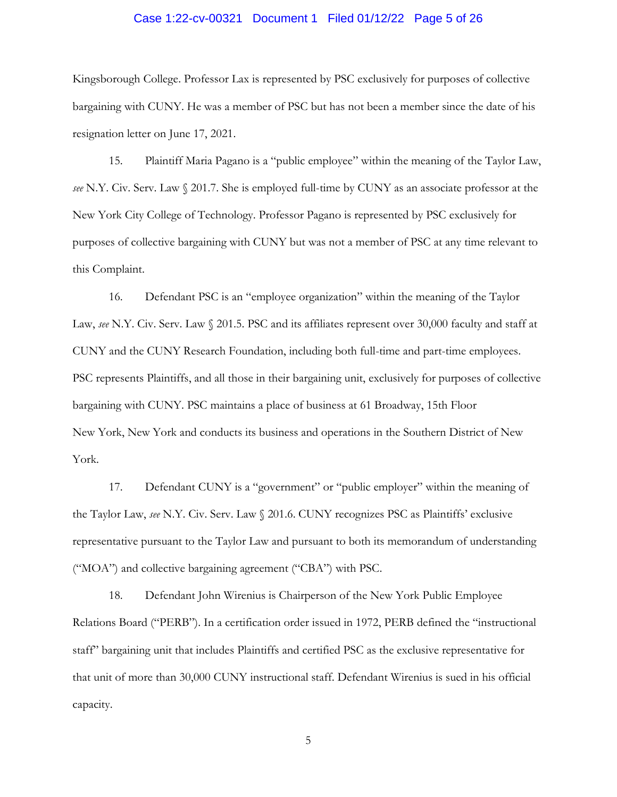## Case 1:22-cv-00321 Document 1 Filed 01/12/22 Page 5 of 26

Kingsborough College. Professor Lax is represented by PSC exclusively for purposes of collective bargaining with CUNY. He was a member of PSC but has not been a member since the date of his resignation letter on June 17, 2021.

15. Plaintiff Maria Pagano is a "public employee" within the meaning of the Taylor Law, *see* N.Y. Civ. Serv. Law § 201.7. She is employed full-time by CUNY as an associate professor at the New York City College of Technology. Professor Pagano is represented by PSC exclusively for purposes of collective bargaining with CUNY but was not a member of PSC at any time relevant to this Complaint.

16. Defendant PSC is an "employee organization" within the meaning of the Taylor Law, *see* N.Y. Civ. Serv. Law  $\sqrt{201.5}$ . PSC and its affiliates represent over 30,000 faculty and staff at CUNY and the CUNY Research Foundation, including both full-time and part-time employees. PSC represents Plaintiffs, and all those in their bargaining unit, exclusively for purposes of collective bargaining with CUNY. PSC maintains a place of business at 61 Broadway, 15th Floor New York, New York and conducts its business and operations in the Southern District of New York.

17. Defendant CUNY is a "government" or "public employer" within the meaning of the Taylor Law, *see* N.Y. Civ. Serv. Law § 201.6. CUNY recognizes PSC as Plaintiffs' exclusive representative pursuant to the Taylor Law and pursuant to both its memorandum of understanding ("MOA") and collective bargaining agreement ("CBA") with PSC.

18. Defendant John Wirenius is Chairperson of the New York Public Employee Relations Board ("PERB"). In a certification order issued in 1972, PERB defined the "instructional staff" bargaining unit that includes Plaintiffs and certified PSC as the exclusive representative for that unit of more than 30,000 CUNY instructional staff. Defendant Wirenius is sued in his official capacity.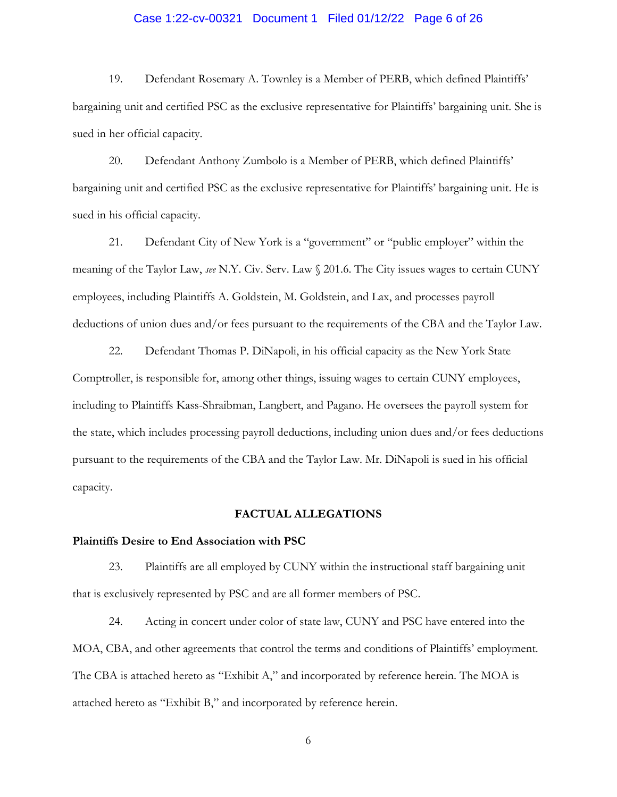# Case 1:22-cv-00321 Document 1 Filed 01/12/22 Page 6 of 26

19. Defendant Rosemary A. Townley is a Member of PERB, which defined Plaintiffs' bargaining unit and certified PSC as the exclusive representative for Plaintiffs' bargaining unit. She is sued in her official capacity.

20. Defendant Anthony Zumbolo is a Member of PERB, which defined Plaintiffs' bargaining unit and certified PSC as the exclusive representative for Plaintiffs' bargaining unit. He is sued in his official capacity.

21. Defendant City of New York is a "government" or "public employer" within the meaning of the Taylor Law, *see* N.Y. Civ. Serv. Law § 201.6. The City issues wages to certain CUNY employees, including Plaintiffs A. Goldstein, M. Goldstein, and Lax, and processes payroll deductions of union dues and/or fees pursuant to the requirements of the CBA and the Taylor Law.

22. Defendant Thomas P. DiNapoli, in his official capacity as the New York State Comptroller, is responsible for, among other things, issuing wages to certain CUNY employees, including to Plaintiffs Kass-Shraibman, Langbert, and Pagano. He oversees the payroll system for the state, which includes processing payroll deductions, including union dues and/or fees deductions pursuant to the requirements of the CBA and the Taylor Law. Mr. DiNapoli is sued in his official capacity.

## **FACTUAL ALLEGATIONS**

#### **Plaintiffs Desire to End Association with PSC**

23. Plaintiffs are all employed by CUNY within the instructional staff bargaining unit that is exclusively represented by PSC and are all former members of PSC.

24. Acting in concert under color of state law, CUNY and PSC have entered into the MOA, CBA, and other agreements that control the terms and conditions of Plaintiffs' employment. The CBA is attached hereto as "Exhibit A," and incorporated by reference herein. The MOA is attached hereto as "Exhibit B," and incorporated by reference herein.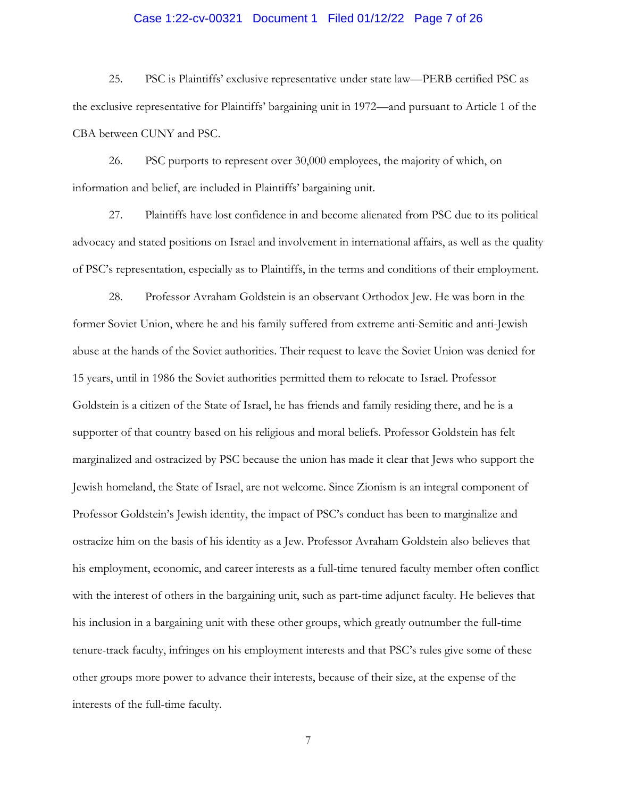# Case 1:22-cv-00321 Document 1 Filed 01/12/22 Page 7 of 26

25. PSC is Plaintiffs' exclusive representative under state law—PERB certified PSC as the exclusive representative for Plaintiffs' bargaining unit in 1972—and pursuant to Article 1 of the CBA between CUNY and PSC.

26. PSC purports to represent over 30,000 employees, the majority of which, on information and belief, are included in Plaintiffs' bargaining unit.

27. Plaintiffs have lost confidence in and become alienated from PSC due to its political advocacy and stated positions on Israel and involvement in international affairs, as well as the quality of PSC's representation, especially as to Plaintiffs, in the terms and conditions of their employment.

28. Professor Avraham Goldstein is an observant Orthodox Jew. He was born in the former Soviet Union, where he and his family suffered from extreme anti-Semitic and anti-Jewish abuse at the hands of the Soviet authorities. Their request to leave the Soviet Union was denied for 15 years, until in 1986 the Soviet authorities permitted them to relocate to Israel. Professor Goldstein is a citizen of the State of Israel, he has friends and family residing there, and he is a supporter of that country based on his religious and moral beliefs. Professor Goldstein has felt marginalized and ostracized by PSC because the union has made it clear that Jews who support the Jewish homeland, the State of Israel, are not welcome. Since Zionism is an integral component of Professor Goldstein's Jewish identity, the impact of PSC's conduct has been to marginalize and ostracize him on the basis of his identity as a Jew. Professor Avraham Goldstein also believes that his employment, economic, and career interests as a full-time tenured faculty member often conflict with the interest of others in the bargaining unit, such as part-time adjunct faculty. He believes that his inclusion in a bargaining unit with these other groups, which greatly outnumber the full-time tenure-track faculty, infringes on his employment interests and that PSC's rules give some of these other groups more power to advance their interests, because of their size, at the expense of the interests of the full-time faculty.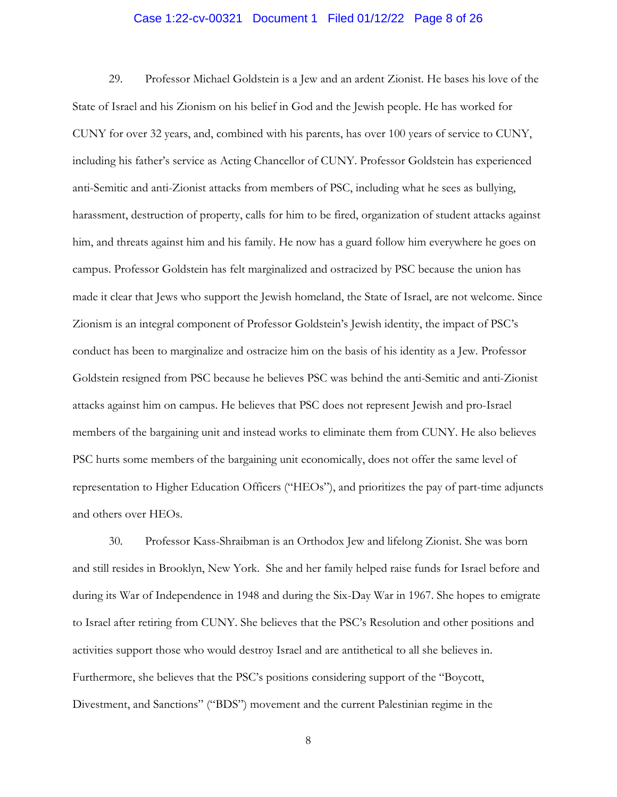# Case 1:22-cv-00321 Document 1 Filed 01/12/22 Page 8 of 26

29. Professor Michael Goldstein is a Jew and an ardent Zionist. He bases his love of the State of Israel and his Zionism on his belief in God and the Jewish people. He has worked for CUNY for over 32 years, and, combined with his parents, has over 100 years of service to CUNY, including his father's service as Acting Chancellor of CUNY. Professor Goldstein has experienced anti-Semitic and anti-Zionist attacks from members of PSC, including what he sees as bullying, harassment, destruction of property, calls for him to be fired, organization of student attacks against him, and threats against him and his family. He now has a guard follow him everywhere he goes on campus. Professor Goldstein has felt marginalized and ostracized by PSC because the union has made it clear that Jews who support the Jewish homeland, the State of Israel, are not welcome. Since Zionism is an integral component of Professor Goldstein's Jewish identity, the impact of PSC's conduct has been to marginalize and ostracize him on the basis of his identity as a Jew. Professor Goldstein resigned from PSC because he believes PSC was behind the anti-Semitic and anti-Zionist attacks against him on campus. He believes that PSC does not represent Jewish and pro-Israel members of the bargaining unit and instead works to eliminate them from CUNY. He also believes PSC hurts some members of the bargaining unit economically, does not offer the same level of representation to Higher Education Officers ("HEOs"), and prioritizes the pay of part-time adjuncts and others over HEOs.

30. Professor Kass-Shraibman is an Orthodox Jew and lifelong Zionist. She was born and still resides in Brooklyn, New York. She and her family helped raise funds for Israel before and during its War of Independence in 1948 and during the Six-Day War in 1967. She hopes to emigrate to Israel after retiring from CUNY. She believes that the PSC's Resolution and other positions and activities support those who would destroy Israel and are antithetical to all she believes in. Furthermore, she believes that the PSC's positions considering support of the "Boycott, Divestment, and Sanctions" ("BDS") movement and the current Palestinian regime in the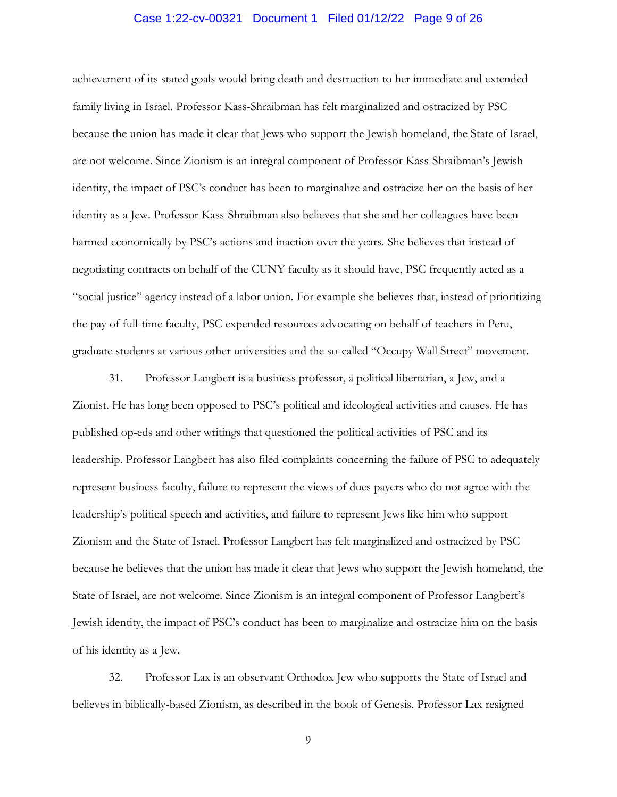## Case 1:22-cv-00321 Document 1 Filed 01/12/22 Page 9 of 26

achievement of its stated goals would bring death and destruction to her immediate and extended family living in Israel. Professor Kass-Shraibman has felt marginalized and ostracized by PSC because the union has made it clear that Jews who support the Jewish homeland, the State of Israel, are not welcome. Since Zionism is an integral component of Professor Kass-Shraibman's Jewish identity, the impact of PSC's conduct has been to marginalize and ostracize her on the basis of her identity as a Jew. Professor Kass-Shraibman also believes that she and her colleagues have been harmed economically by PSC's actions and inaction over the years. She believes that instead of negotiating contracts on behalf of the CUNY faculty as it should have, PSC frequently acted as a "social justice" agency instead of a labor union. For example she believes that, instead of prioritizing the pay of full-time faculty, PSC expended resources advocating on behalf of teachers in Peru, graduate students at various other universities and the so-called "Occupy Wall Street" movement.

31. Professor Langbert is a business professor, a political libertarian, a Jew, and a Zionist. He has long been opposed to PSC's political and ideological activities and causes. He has published op-eds and other writings that questioned the political activities of PSC and its leadership. Professor Langbert has also filed complaints concerning the failure of PSC to adequately represent business faculty, failure to represent the views of dues payers who do not agree with the leadership's political speech and activities, and failure to represent Jews like him who support Zionism and the State of Israel. Professor Langbert has felt marginalized and ostracized by PSC because he believes that the union has made it clear that Jews who support the Jewish homeland, the State of Israel, are not welcome. Since Zionism is an integral component of Professor Langbert's Jewish identity, the impact of PSC's conduct has been to marginalize and ostracize him on the basis of his identity as a Jew.

32. Professor Lax is an observant Orthodox Jew who supports the State of Israel and believes in biblically-based Zionism, as described in the book of Genesis. Professor Lax resigned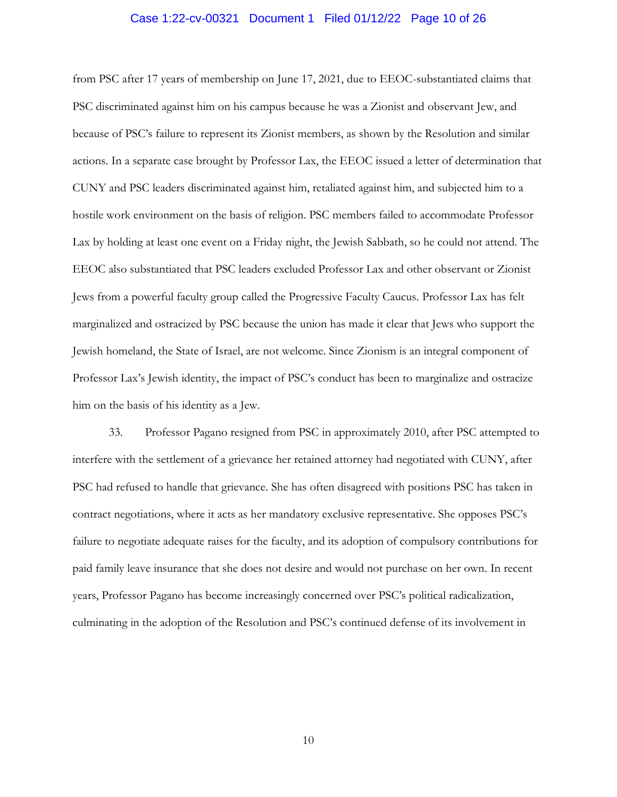## Case 1:22-cv-00321 Document 1 Filed 01/12/22 Page 10 of 26

from PSC after 17 years of membership on June 17, 2021, due to EEOC-substantiated claims that PSC discriminated against him on his campus because he was a Zionist and observant Jew, and because of PSC's failure to represent its Zionist members, as shown by the Resolution and similar actions. In a separate case brought by Professor Lax, the EEOC issued a letter of determination that CUNY and PSC leaders discriminated against him, retaliated against him, and subjected him to a hostile work environment on the basis of religion. PSC members failed to accommodate Professor Lax by holding at least one event on a Friday night, the Jewish Sabbath, so he could not attend. The EEOC also substantiated that PSC leaders excluded Professor Lax and other observant or Zionist Jews from a powerful faculty group called the Progressive Faculty Caucus. Professor Lax has felt marginalized and ostracized by PSC because the union has made it clear that Jews who support the Jewish homeland, the State of Israel, are not welcome. Since Zionism is an integral component of Professor Lax's Jewish identity, the impact of PSC's conduct has been to marginalize and ostracize him on the basis of his identity as a Jew.

33. Professor Pagano resigned from PSC in approximately 2010, after PSC attempted to interfere with the settlement of a grievance her retained attorney had negotiated with CUNY, after PSC had refused to handle that grievance. She has often disagreed with positions PSC has taken in contract negotiations, where it acts as her mandatory exclusive representative. She opposes PSC's failure to negotiate adequate raises for the faculty, and its adoption of compulsory contributions for paid family leave insurance that she does not desire and would not purchase on her own. In recent years, Professor Pagano has become increasingly concerned over PSC's political radicalization, culminating in the adoption of the Resolution and PSC's continued defense of its involvement in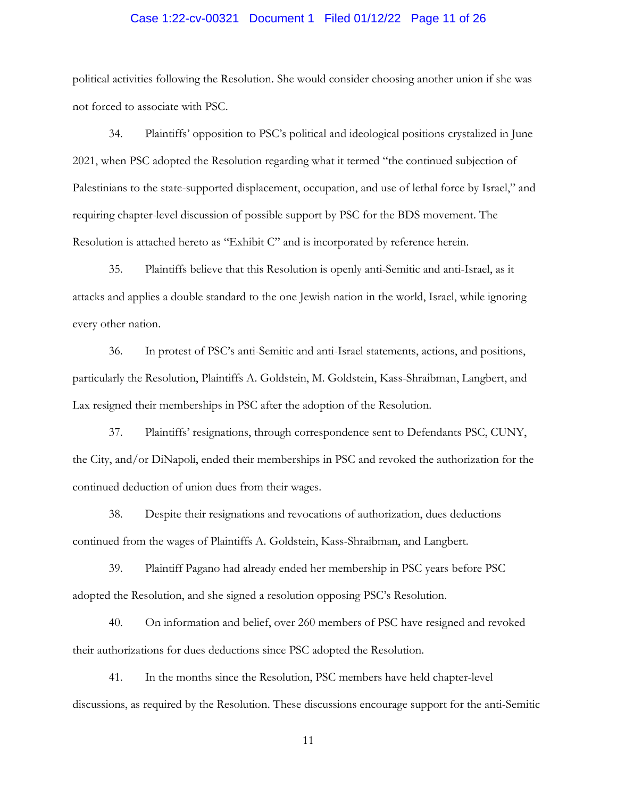## Case 1:22-cv-00321 Document 1 Filed 01/12/22 Page 11 of 26

political activities following the Resolution. She would consider choosing another union if she was not forced to associate with PSC.

34. Plaintiffs' opposition to PSC's political and ideological positions crystalized in June 2021, when PSC adopted the Resolution regarding what it termed "the continued subjection of Palestinians to the state-supported displacement, occupation, and use of lethal force by Israel," and requiring chapter-level discussion of possible support by PSC for the BDS movement. The Resolution is attached hereto as "Exhibit C" and is incorporated by reference herein.

35. Plaintiffs believe that this Resolution is openly anti-Semitic and anti-Israel, as it attacks and applies a double standard to the one Jewish nation in the world, Israel, while ignoring every other nation.

36. In protest of PSC's anti-Semitic and anti-Israel statements, actions, and positions, particularly the Resolution, Plaintiffs A. Goldstein, M. Goldstein, Kass-Shraibman, Langbert, and Lax resigned their memberships in PSC after the adoption of the Resolution.

37. Plaintiffs' resignations, through correspondence sent to Defendants PSC, CUNY, the City, and/or DiNapoli, ended their memberships in PSC and revoked the authorization for the continued deduction of union dues from their wages.

38. Despite their resignations and revocations of authorization, dues deductions continued from the wages of Plaintiffs A. Goldstein, Kass-Shraibman, and Langbert.

39. Plaintiff Pagano had already ended her membership in PSC years before PSC adopted the Resolution, and she signed a resolution opposing PSC's Resolution.

40. On information and belief, over 260 members of PSC have resigned and revoked their authorizations for dues deductions since PSC adopted the Resolution.

41. In the months since the Resolution, PSC members have held chapter-level discussions, as required by the Resolution. These discussions encourage support for the anti-Semitic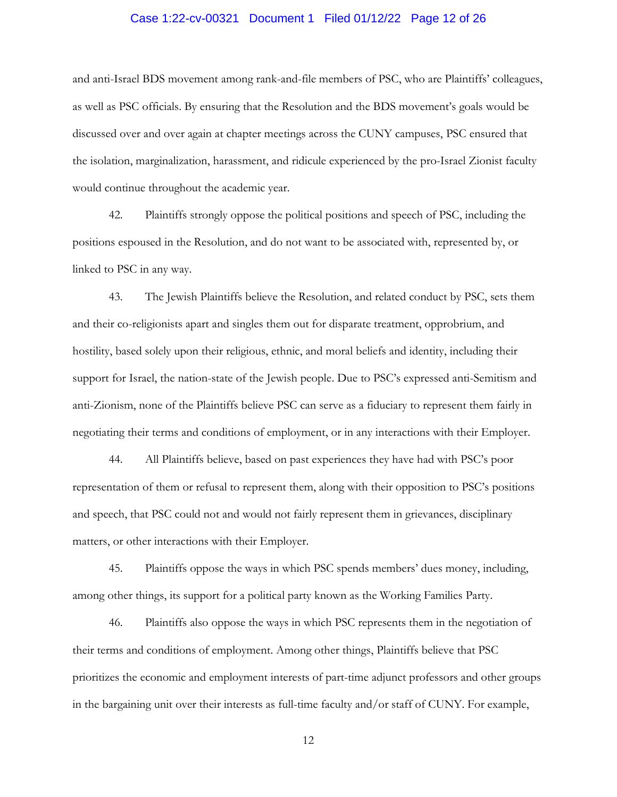# Case 1:22-cv-00321 Document 1 Filed 01/12/22 Page 12 of 26

and anti-Israel BDS movement among rank-and-file members of PSC, who are Plaintiffs' colleagues, as well as PSC officials. By ensuring that the Resolution and the BDS movement's goals would be discussed over and over again at chapter meetings across the CUNY campuses, PSC ensured that the isolation, marginalization, harassment, and ridicule experienced by the pro-Israel Zionist faculty would continue throughout the academic year.

42. Plaintiffs strongly oppose the political positions and speech of PSC, including the positions espoused in the Resolution, and do not want to be associated with, represented by, or linked to PSC in any way.

43. The Jewish Plaintiffs believe the Resolution, and related conduct by PSC, sets them and their co-religionists apart and singles them out for disparate treatment, opprobrium, and hostility, based solely upon their religious, ethnic, and moral beliefs and identity, including their support for Israel, the nation-state of the Jewish people. Due to PSC's expressed anti-Semitism and anti-Zionism, none of the Plaintiffs believe PSC can serve as a fiduciary to represent them fairly in negotiating their terms and conditions of employment, or in any interactions with their Employer.

44. All Plaintiffs believe, based on past experiences they have had with PSC's poor representation of them or refusal to represent them, along with their opposition to PSC's positions and speech, that PSC could not and would not fairly represent them in grievances, disciplinary matters, or other interactions with their Employer.

45. Plaintiffs oppose the ways in which PSC spends members' dues money, including, among other things, its support for a political party known as the Working Families Party.

46. Plaintiffs also oppose the ways in which PSC represents them in the negotiation of their terms and conditions of employment. Among other things, Plaintiffs believe that PSC prioritizes the economic and employment interests of part-time adjunct professors and other groups in the bargaining unit over their interests as full-time faculty and/or staff of CUNY. For example,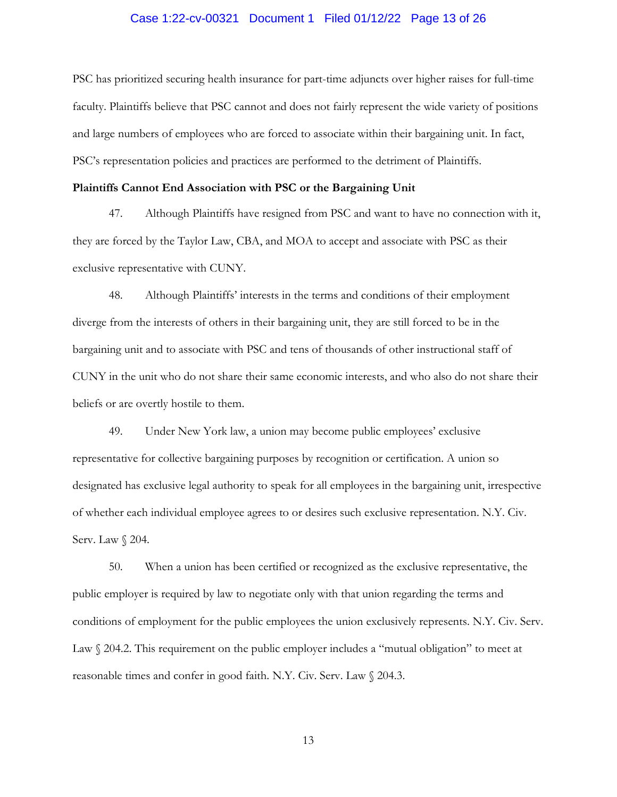# Case 1:22-cv-00321 Document 1 Filed 01/12/22 Page 13 of 26

PSC has prioritized securing health insurance for part-time adjuncts over higher raises for full-time faculty. Plaintiffs believe that PSC cannot and does not fairly represent the wide variety of positions and large numbers of employees who are forced to associate within their bargaining unit. In fact, PSC's representation policies and practices are performed to the detriment of Plaintiffs.

## **Plaintiffs Cannot End Association with PSC or the Bargaining Unit**

47. Although Plaintiffs have resigned from PSC and want to have no connection with it, they are forced by the Taylor Law, CBA, and MOA to accept and associate with PSC as their exclusive representative with CUNY.

48. Although Plaintiffs' interests in the terms and conditions of their employment diverge from the interests of others in their bargaining unit, they are still forced to be in the bargaining unit and to associate with PSC and tens of thousands of other instructional staff of CUNY in the unit who do not share their same economic interests, and who also do not share their beliefs or are overtly hostile to them.

49. Under New York law, a union may become public employees' exclusive representative for collective bargaining purposes by recognition or certification. A union so designated has exclusive legal authority to speak for all employees in the bargaining unit, irrespective of whether each individual employee agrees to or desires such exclusive representation. N.Y. Civ. Serv. Law § 204.

50. When a union has been certified or recognized as the exclusive representative, the public employer is required by law to negotiate only with that union regarding the terms and conditions of employment for the public employees the union exclusively represents. N.Y. Civ. Serv. Law  $\Diamond$  204.2. This requirement on the public employer includes a "mutual obligation" to meet at reasonable times and confer in good faith. N.Y. Civ. Serv. Law § 204.3.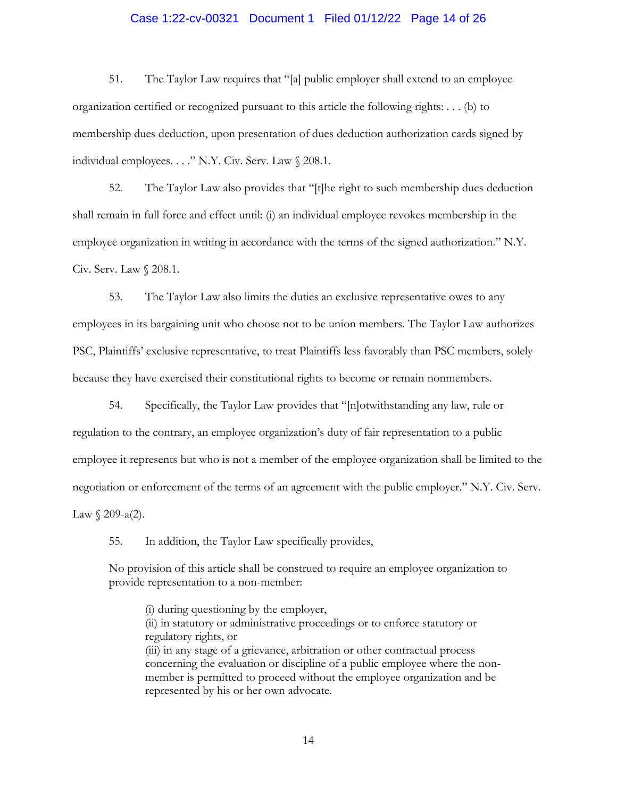## Case 1:22-cv-00321 Document 1 Filed 01/12/22 Page 14 of 26

51. The Taylor Law requires that "[a] public employer shall extend to an employee organization certified or recognized pursuant to this article the following rights: . . . (b) to membership dues deduction, upon presentation of dues deduction authorization cards signed by individual employees. . . ." N.Y. Civ. Serv. Law § 208.1.

52. The Taylor Law also provides that "[t]he right to such membership dues deduction shall remain in full force and effect until: (i) an individual employee revokes membership in the employee organization in writing in accordance with the terms of the signed authorization." N.Y. Civ. Serv. Law § 208.1.

53. The Taylor Law also limits the duties an exclusive representative owes to any employees in its bargaining unit who choose not to be union members. The Taylor Law authorizes PSC, Plaintiffs' exclusive representative, to treat Plaintiffs less favorably than PSC members, solely because they have exercised their constitutional rights to become or remain nonmembers.

54. Specifically, the Taylor Law provides that "[n]otwithstanding any law, rule or regulation to the contrary, an employee organization's duty of fair representation to a public employee it represents but who is not a member of the employee organization shall be limited to the negotiation or enforcement of the terms of an agreement with the public employer." N.Y. Civ. Serv. Law  $\int$  209-a(2).

55. In addition, the Taylor Law specifically provides,

No provision of this article shall be construed to require an employee organization to provide representation to a non-member:

(i) during questioning by the employer, (ii) in statutory or administrative proceedings or to enforce statutory or regulatory rights, or (iii) in any stage of a grievance, arbitration or other contractual process concerning the evaluation or discipline of a public employee where the nonmember is permitted to proceed without the employee organization and be represented by his or her own advocate.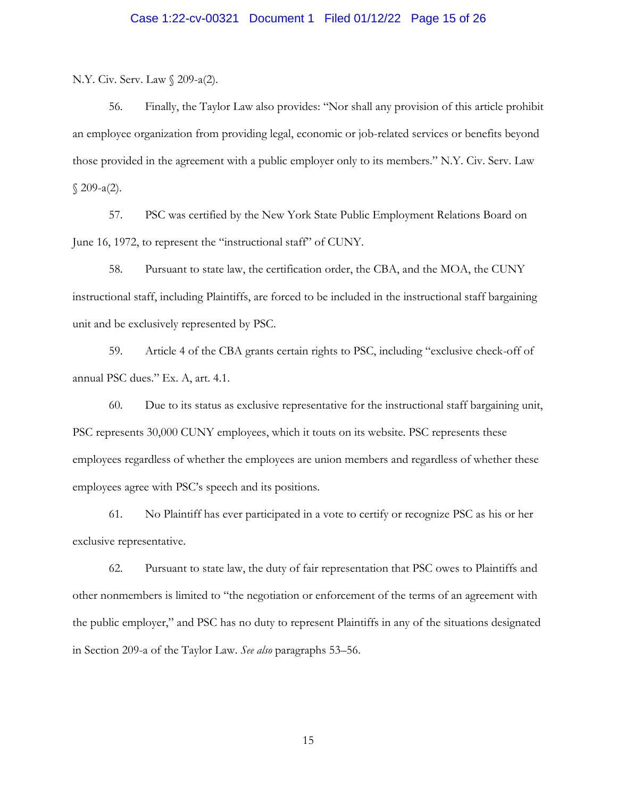# Case 1:22-cv-00321 Document 1 Filed 01/12/22 Page 15 of 26

N.Y. Civ. Serv. Law § 209-a(2).

56. Finally, the Taylor Law also provides: "Nor shall any provision of this article prohibit an employee organization from providing legal, economic or job-related services or benefits beyond those provided in the agreement with a public employer only to its members." N.Y. Civ. Serv. Law § 209-a(2).

57. PSC was certified by the New York State Public Employment Relations Board on June 16, 1972, to represent the "instructional staff" of CUNY.

58. Pursuant to state law, the certification order, the CBA, and the MOA, the CUNY instructional staff, including Plaintiffs, are forced to be included in the instructional staff bargaining unit and be exclusively represented by PSC.

59. Article 4 of the CBA grants certain rights to PSC, including "exclusive check-off of annual PSC dues." Ex. A, art. 4.1.

60. Due to its status as exclusive representative for the instructional staff bargaining unit, PSC represents 30,000 CUNY employees, which it touts on its website. PSC represents these employees regardless of whether the employees are union members and regardless of whether these employees agree with PSC's speech and its positions.

61. No Plaintiff has ever participated in a vote to certify or recognize PSC as his or her exclusive representative.

62. Pursuant to state law, the duty of fair representation that PSC owes to Plaintiffs and other nonmembers is limited to "the negotiation or enforcement of the terms of an agreement with the public employer," and PSC has no duty to represent Plaintiffs in any of the situations designated in Section 209-a of the Taylor Law. *See also* paragraphs 53–56.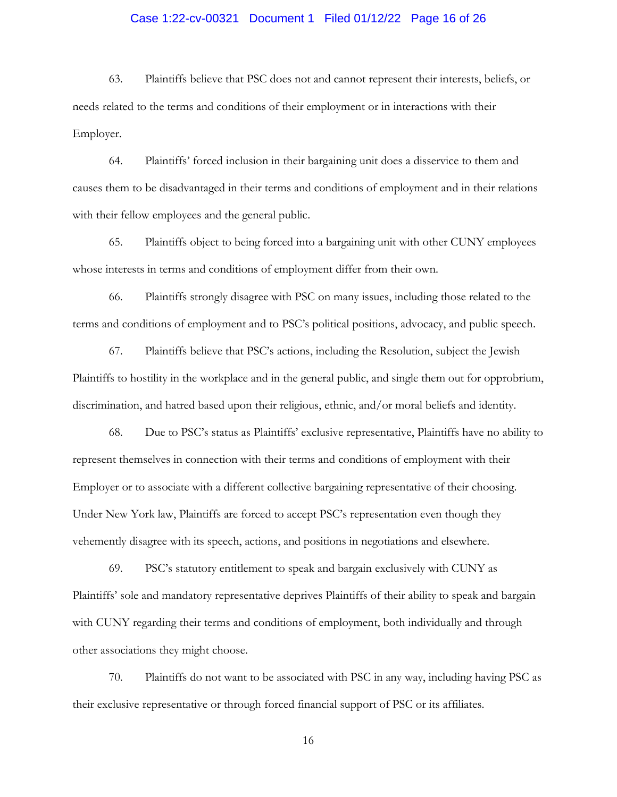# Case 1:22-cv-00321 Document 1 Filed 01/12/22 Page 16 of 26

63. Plaintiffs believe that PSC does not and cannot represent their interests, beliefs, or needs related to the terms and conditions of their employment or in interactions with their Employer.

64. Plaintiffs' forced inclusion in their bargaining unit does a disservice to them and causes them to be disadvantaged in their terms and conditions of employment and in their relations with their fellow employees and the general public.

65. Plaintiffs object to being forced into a bargaining unit with other CUNY employees whose interests in terms and conditions of employment differ from their own.

66. Plaintiffs strongly disagree with PSC on many issues, including those related to the terms and conditions of employment and to PSC's political positions, advocacy, and public speech.

67. Plaintiffs believe that PSC's actions, including the Resolution, subject the Jewish Plaintiffs to hostility in the workplace and in the general public, and single them out for opprobrium, discrimination, and hatred based upon their religious, ethnic, and/or moral beliefs and identity.

68. Due to PSC's status as Plaintiffs' exclusive representative, Plaintiffs have no ability to represent themselves in connection with their terms and conditions of employment with their Employer or to associate with a different collective bargaining representative of their choosing. Under New York law, Plaintiffs are forced to accept PSC's representation even though they vehemently disagree with its speech, actions, and positions in negotiations and elsewhere.

69. PSC's statutory entitlement to speak and bargain exclusively with CUNY as Plaintiffs' sole and mandatory representative deprives Plaintiffs of their ability to speak and bargain with CUNY regarding their terms and conditions of employment, both individually and through other associations they might choose.

70. Plaintiffs do not want to be associated with PSC in any way, including having PSC as their exclusive representative or through forced financial support of PSC or its affiliates.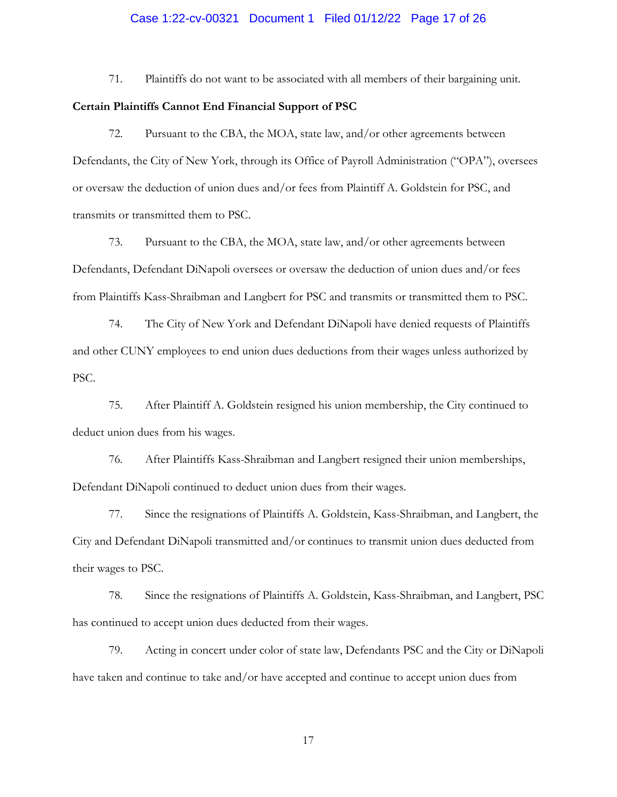# Case 1:22-cv-00321 Document 1 Filed 01/12/22 Page 17 of 26

71. Plaintiffs do not want to be associated with all members of their bargaining unit.

#### **Certain Plaintiffs Cannot End Financial Support of PSC**

72. Pursuant to the CBA, the MOA, state law, and/or other agreements between Defendants, the City of New York, through its Office of Payroll Administration ("OPA"), oversees or oversaw the deduction of union dues and/or fees from Plaintiff A. Goldstein for PSC, and transmits or transmitted them to PSC.

73. Pursuant to the CBA, the MOA, state law, and/or other agreements between Defendants, Defendant DiNapoli oversees or oversaw the deduction of union dues and/or fees from Plaintiffs Kass-Shraibman and Langbert for PSC and transmits or transmitted them to PSC.

74. The City of New York and Defendant DiNapoli have denied requests of Plaintiffs and other CUNY employees to end union dues deductions from their wages unless authorized by PSC.

75. After Plaintiff A. Goldstein resigned his union membership, the City continued to deduct union dues from his wages.

76. After Plaintiffs Kass-Shraibman and Langbert resigned their union memberships, Defendant DiNapoli continued to deduct union dues from their wages.

77. Since the resignations of Plaintiffs A. Goldstein, Kass-Shraibman, and Langbert, the City and Defendant DiNapoli transmitted and/or continues to transmit union dues deducted from their wages to PSC.

78. Since the resignations of Plaintiffs A. Goldstein, Kass-Shraibman, and Langbert, PSC has continued to accept union dues deducted from their wages.

79. Acting in concert under color of state law, Defendants PSC and the City or DiNapoli have taken and continue to take and/or have accepted and continue to accept union dues from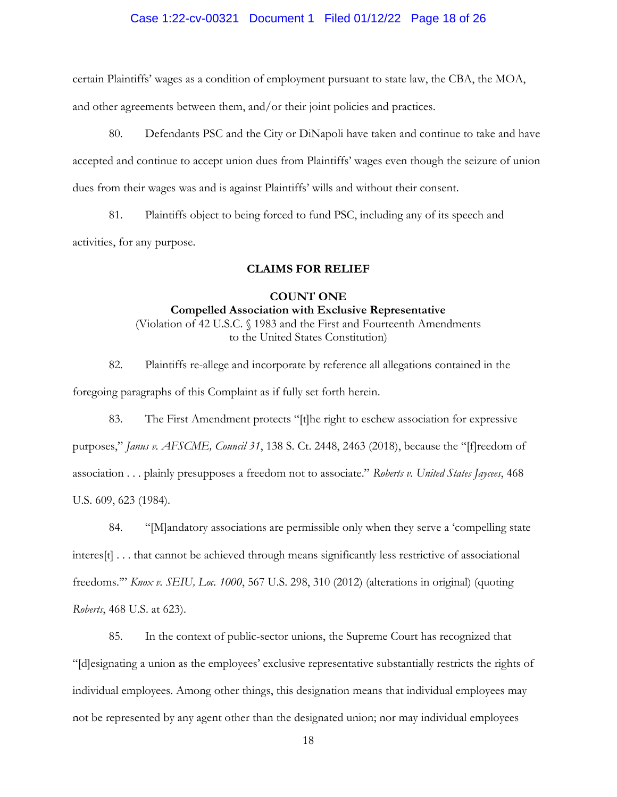## Case 1:22-cv-00321 Document 1 Filed 01/12/22 Page 18 of 26

certain Plaintiffs' wages as a condition of employment pursuant to state law, the CBA, the MOA,

and other agreements between them, and/or their joint policies and practices.

80. Defendants PSC and the City or DiNapoli have taken and continue to take and have accepted and continue to accept union dues from Plaintiffs' wages even though the seizure of union dues from their wages was and is against Plaintiffs' wills and without their consent.

81. Plaintiffs object to being forced to fund PSC, including any of its speech and activities, for any purpose.

#### **CLAIMS FOR RELIEF**

## **COUNT ONE Compelled Association with Exclusive Representative** (Violation of 42 U.S.C. § 1983 and the First and Fourteenth Amendments to the United States Constitution)

82. Plaintiffs re-allege and incorporate by reference all allegations contained in the foregoing paragraphs of this Complaint as if fully set forth herein.

83. The First Amendment protects "[t]he right to eschew association for expressive purposes," *Janus v. AFSCME, Council 31*, 138 S. Ct. 2448, 2463 (2018), because the "[f]reedom of association . . . plainly presupposes a freedom not to associate." *Roberts v. United States Jaycees*, 468 U.S. 609, 623 (1984).

84. "[M]andatory associations are permissible only when they serve a 'compelling state interes[t] . . . that cannot be achieved through means significantly less restrictive of associational freedoms.'" *Knox v. SEIU, Loc. 1000*, 567 U.S. 298, 310 (2012) (alterations in original) (quoting *Roberts*, 468 U.S. at 623).

85. In the context of public-sector unions, the Supreme Court has recognized that "[d]esignating a union as the employees' exclusive representative substantially restricts the rights of individual employees. Among other things, this designation means that individual employees may not be represented by any agent other than the designated union; nor may individual employees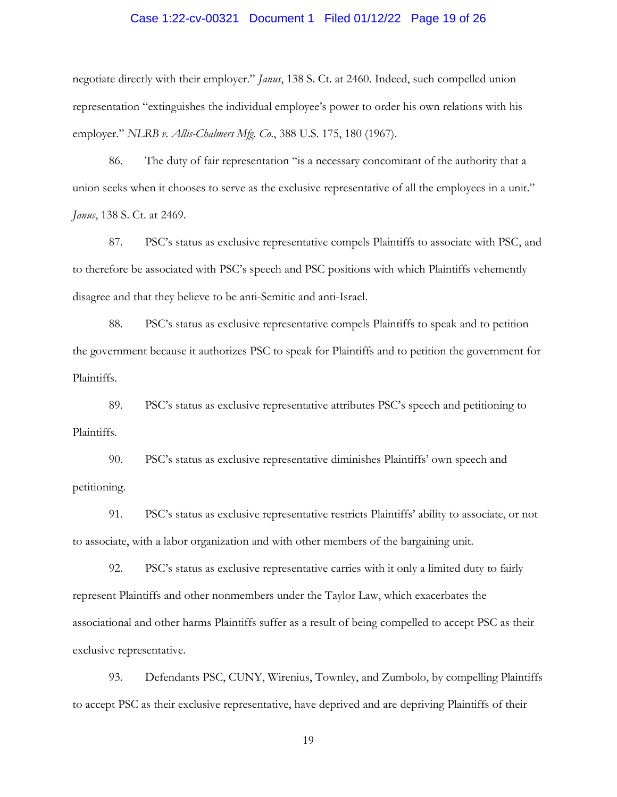# Case 1:22-cv-00321 Document 1 Filed 01/12/22 Page 19 of 26

negotiate directly with their employer." *Janus*, 138 S. Ct. at 2460. Indeed, such compelled union representation "extinguishes the individual employee's power to order his own relations with his employer." *NLRB v. Allis-Chalmers Mfg. Co*., 388 U.S. 175, 180 (1967).

86. The duty of fair representation "is a necessary concomitant of the authority that a union seeks when it chooses to serve as the exclusive representative of all the employees in a unit." *Janus*, 138 S. Ct. at 2469.

87. PSC's status as exclusive representative compels Plaintiffs to associate with PSC, and to therefore be associated with PSC's speech and PSC positions with which Plaintiffs vehemently disagree and that they believe to be anti-Semitic and anti-Israel.

88. PSC's status as exclusive representative compels Plaintiffs to speak and to petition the government because it authorizes PSC to speak for Plaintiffs and to petition the government for Plaintiffs.

89. PSC's status as exclusive representative attributes PSC's speech and petitioning to Plaintiffs.

90. PSC's status as exclusive representative diminishes Plaintiffs' own speech and petitioning.

91. PSC's status as exclusive representative restricts Plaintiffs' ability to associate, or not to associate, with a labor organization and with other members of the bargaining unit.

92. PSC's status as exclusive representative carries with it only a limited duty to fairly represent Plaintiffs and other nonmembers under the Taylor Law, which exacerbates the associational and other harms Plaintiffs suffer as a result of being compelled to accept PSC as their exclusive representative.

93. Defendants PSC, CUNY, Wirenius, Townley, and Zumbolo, by compelling Plaintiffs to accept PSC as their exclusive representative, have deprived and are depriving Plaintiffs of their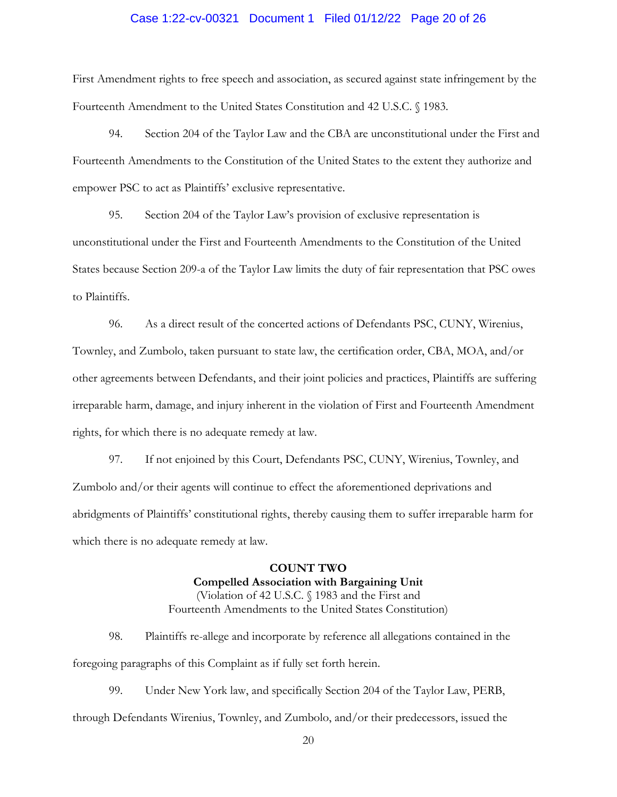## Case 1:22-cv-00321 Document 1 Filed 01/12/22 Page 20 of 26

First Amendment rights to free speech and association, as secured against state infringement by the Fourteenth Amendment to the United States Constitution and 42 U.S.C. § 1983.

94. Section 204 of the Taylor Law and the CBA are unconstitutional under the First and Fourteenth Amendments to the Constitution of the United States to the extent they authorize and empower PSC to act as Plaintiffs' exclusive representative.

95. Section 204 of the Taylor Law's provision of exclusive representation is unconstitutional under the First and Fourteenth Amendments to the Constitution of the United States because Section 209-a of the Taylor Law limits the duty of fair representation that PSC owes to Plaintiffs.

96. As a direct result of the concerted actions of Defendants PSC, CUNY, Wirenius, Townley, and Zumbolo, taken pursuant to state law, the certification order, CBA, MOA, and/or other agreements between Defendants, and their joint policies and practices, Plaintiffs are suffering irreparable harm, damage, and injury inherent in the violation of First and Fourteenth Amendment rights, for which there is no adequate remedy at law.

97. If not enjoined by this Court, Defendants PSC, CUNY, Wirenius, Townley, and Zumbolo and/or their agents will continue to effect the aforementioned deprivations and abridgments of Plaintiffs' constitutional rights, thereby causing them to suffer irreparable harm for which there is no adequate remedy at law.

> **COUNT TWO Compelled Association with Bargaining Unit** (Violation of 42 U.S.C. § 1983 and the First and Fourteenth Amendments to the United States Constitution)

98. Plaintiffs re-allege and incorporate by reference all allegations contained in the foregoing paragraphs of this Complaint as if fully set forth herein.

99. Under New York law, and specifically Section 204 of the Taylor Law, PERB, through Defendants Wirenius, Townley, and Zumbolo, and/or their predecessors, issued the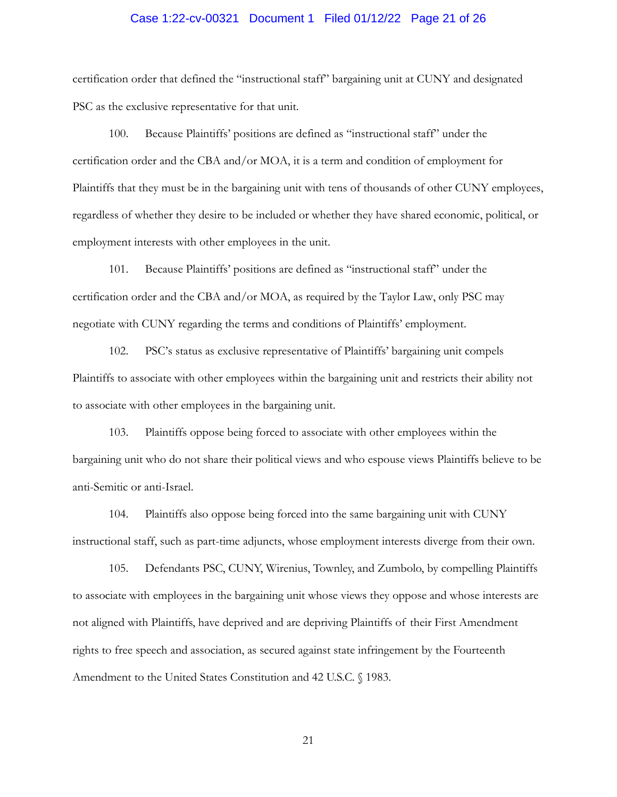## Case 1:22-cv-00321 Document 1 Filed 01/12/22 Page 21 of 26

certification order that defined the "instructional staff" bargaining unit at CUNY and designated PSC as the exclusive representative for that unit.

100. Because Plaintiffs' positions are defined as "instructional staff" under the certification order and the CBA and/or MOA, it is a term and condition of employment for Plaintiffs that they must be in the bargaining unit with tens of thousands of other CUNY employees, regardless of whether they desire to be included or whether they have shared economic, political, or employment interests with other employees in the unit.

101. Because Plaintiffs' positions are defined as "instructional staff" under the certification order and the CBA and/or MOA, as required by the Taylor Law, only PSC may negotiate with CUNY regarding the terms and conditions of Plaintiffs' employment.

102. PSC's status as exclusive representative of Plaintiffs' bargaining unit compels Plaintiffs to associate with other employees within the bargaining unit and restricts their ability not to associate with other employees in the bargaining unit.

103. Plaintiffs oppose being forced to associate with other employees within the bargaining unit who do not share their political views and who espouse views Plaintiffs believe to be anti-Semitic or anti-Israel.

104. Plaintiffs also oppose being forced into the same bargaining unit with CUNY instructional staff, such as part-time adjuncts, whose employment interests diverge from their own.

105. Defendants PSC, CUNY, Wirenius, Townley, and Zumbolo, by compelling Plaintiffs to associate with employees in the bargaining unit whose views they oppose and whose interests are not aligned with Plaintiffs, have deprived and are depriving Plaintiffs of their First Amendment rights to free speech and association, as secured against state infringement by the Fourteenth Amendment to the United States Constitution and 42 U.S.C. § 1983.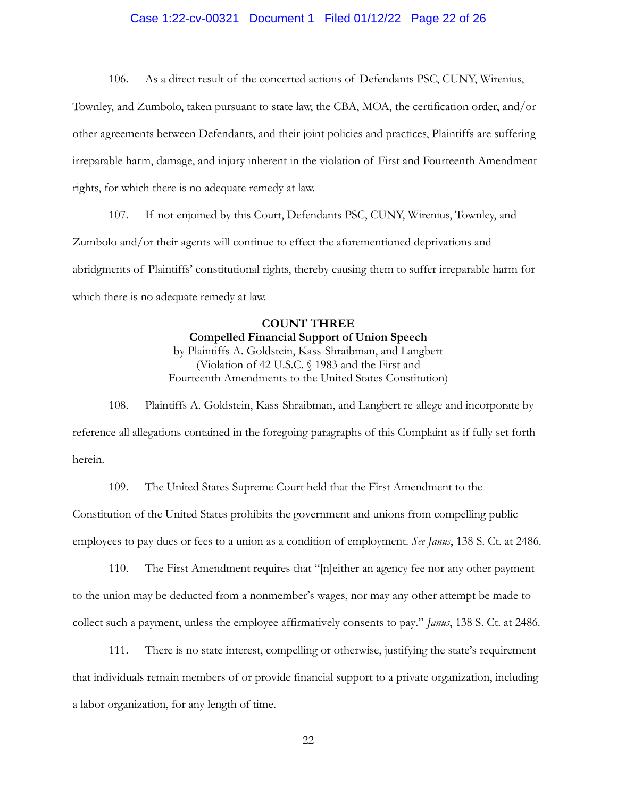## Case 1:22-cv-00321 Document 1 Filed 01/12/22 Page 22 of 26

106. As a direct result of the concerted actions of Defendants PSC, CUNY, Wirenius,

Townley, and Zumbolo, taken pursuant to state law, the CBA, MOA, the certification order, and/or other agreements between Defendants, and their joint policies and practices, Plaintiffs are suffering irreparable harm, damage, and injury inherent in the violation of First and Fourteenth Amendment rights, for which there is no adequate remedy at law.

107. If not enjoined by this Court, Defendants PSC, CUNY, Wirenius, Townley, and Zumbolo and/or their agents will continue to effect the aforementioned deprivations and abridgments of Plaintiffs' constitutional rights, thereby causing them to suffer irreparable harm for which there is no adequate remedy at law.

# **COUNT THREE Compelled Financial Support of Union Speech** by Plaintiffs A. Goldstein, Kass-Shraibman, and Langbert

(Violation of 42 U.S.C. § 1983 and the First and Fourteenth Amendments to the United States Constitution)

108. Plaintiffs A. Goldstein, Kass-Shraibman, and Langbert re-allege and incorporate by reference all allegations contained in the foregoing paragraphs of this Complaint as if fully set forth herein.

109. The United States Supreme Court held that the First Amendment to the Constitution of the United States prohibits the government and unions from compelling public employees to pay dues or fees to a union as a condition of employment. *See Janus*, 138 S. Ct. at 2486.

110. The First Amendment requires that "[n]either an agency fee nor any other payment to the union may be deducted from a nonmember's wages, nor may any other attempt be made to collect such a payment, unless the employee affirmatively consents to pay." *Janus*, 138 S. Ct. at 2486.

111. There is no state interest, compelling or otherwise, justifying the state's requirement that individuals remain members of or provide financial support to a private organization, including a labor organization, for any length of time.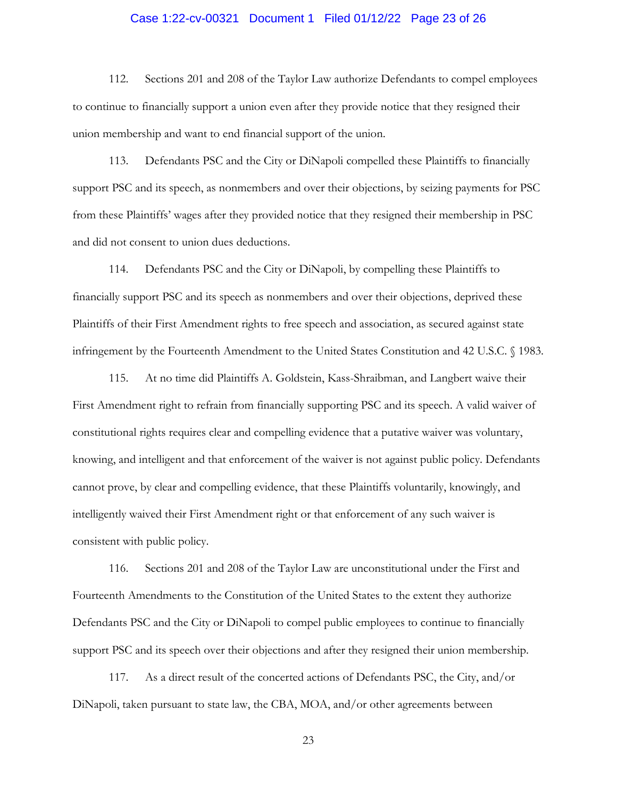# Case 1:22-cv-00321 Document 1 Filed 01/12/22 Page 23 of 26

112. Sections 201 and 208 of the Taylor Law authorize Defendants to compel employees to continue to financially support a union even after they provide notice that they resigned their union membership and want to end financial support of the union.

113. Defendants PSC and the City or DiNapoli compelled these Plaintiffs to financially support PSC and its speech, as nonmembers and over their objections, by seizing payments for PSC from these Plaintiffs' wages after they provided notice that they resigned their membership in PSC and did not consent to union dues deductions.

114. Defendants PSC and the City or DiNapoli, by compelling these Plaintiffs to financially support PSC and its speech as nonmembers and over their objections, deprived these Plaintiffs of their First Amendment rights to free speech and association, as secured against state infringement by the Fourteenth Amendment to the United States Constitution and 42 U.S.C. § 1983.

115. At no time did Plaintiffs A. Goldstein, Kass-Shraibman, and Langbert waive their First Amendment right to refrain from financially supporting PSC and its speech. A valid waiver of constitutional rights requires clear and compelling evidence that a putative waiver was voluntary, knowing, and intelligent and that enforcement of the waiver is not against public policy. Defendants cannot prove, by clear and compelling evidence, that these Plaintiffs voluntarily, knowingly, and intelligently waived their First Amendment right or that enforcement of any such waiver is consistent with public policy.

116. Sections 201 and 208 of the Taylor Law are unconstitutional under the First and Fourteenth Amendments to the Constitution of the United States to the extent they authorize Defendants PSC and the City or DiNapoli to compel public employees to continue to financially support PSC and its speech over their objections and after they resigned their union membership.

117. As a direct result of the concerted actions of Defendants PSC, the City, and/or DiNapoli, taken pursuant to state law, the CBA, MOA, and/or other agreements between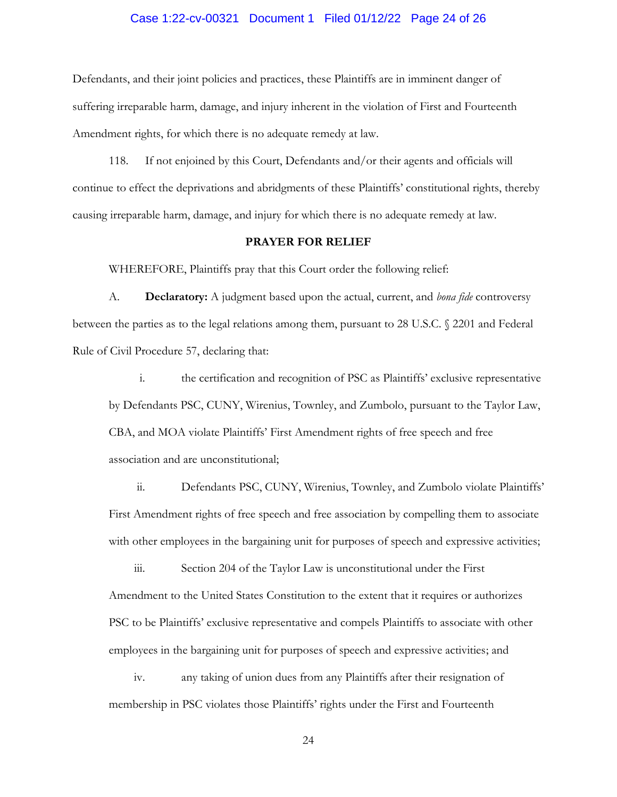#### Case 1:22-cv-00321 Document 1 Filed 01/12/22 Page 24 of 26

Defendants, and their joint policies and practices, these Plaintiffs are in imminent danger of suffering irreparable harm, damage, and injury inherent in the violation of First and Fourteenth Amendment rights, for which there is no adequate remedy at law.

118. If not enjoined by this Court, Defendants and/or their agents and officials will continue to effect the deprivations and abridgments of these Plaintiffs' constitutional rights, thereby causing irreparable harm, damage, and injury for which there is no adequate remedy at law.

#### **PRAYER FOR RELIEF**

WHEREFORE, Plaintiffs pray that this Court order the following relief:

A. **Declaratory:** A judgment based upon the actual, current, and *bona fide* controversy between the parties as to the legal relations among them, pursuant to 28 U.S.C. § 2201 and Federal Rule of Civil Procedure 57, declaring that:

i. the certification and recognition of PSC as Plaintiffs' exclusive representative by Defendants PSC, CUNY, Wirenius, Townley, and Zumbolo, pursuant to the Taylor Law, CBA, and MOA violate Plaintiffs' First Amendment rights of free speech and free association and are unconstitutional;

ii. Defendants PSC, CUNY, Wirenius, Townley, and Zumbolo violate Plaintiffs' First Amendment rights of free speech and free association by compelling them to associate with other employees in the bargaining unit for purposes of speech and expressive activities;

iii. Section 204 of the Taylor Law is unconstitutional under the First Amendment to the United States Constitution to the extent that it requires or authorizes PSC to be Plaintiffs' exclusive representative and compels Plaintiffs to associate with other employees in the bargaining unit for purposes of speech and expressive activities; and

iv. any taking of union dues from any Plaintiffs after their resignation of membership in PSC violates those Plaintiffs' rights under the First and Fourteenth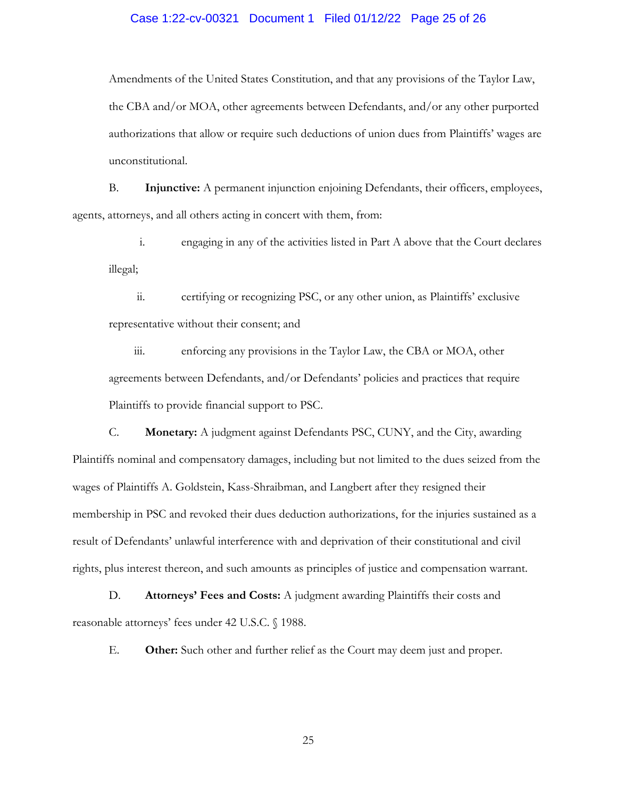# Case 1:22-cv-00321 Document 1 Filed 01/12/22 Page 25 of 26

Amendments of the United States Constitution, and that any provisions of the Taylor Law, the CBA and/or MOA, other agreements between Defendants, and/or any other purported authorizations that allow or require such deductions of union dues from Plaintiffs' wages are unconstitutional.

B. **Injunctive:** A permanent injunction enjoining Defendants, their officers, employees, agents, attorneys, and all others acting in concert with them, from:

i. engaging in any of the activities listed in Part A above that the Court declares illegal;

ii. certifying or recognizing PSC, or any other union, as Plaintiffs' exclusive representative without their consent; and

iii. enforcing any provisions in the Taylor Law, the CBA or MOA, other agreements between Defendants, and/or Defendants' policies and practices that require Plaintiffs to provide financial support to PSC.

C. **Monetary:** A judgment against Defendants PSC, CUNY, and the City, awarding Plaintiffs nominal and compensatory damages, including but not limited to the dues seized from the wages of Plaintiffs A. Goldstein, Kass-Shraibman, and Langbert after they resigned their membership in PSC and revoked their dues deduction authorizations, for the injuries sustained as a result of Defendants' unlawful interference with and deprivation of their constitutional and civil rights, plus interest thereon, and such amounts as principles of justice and compensation warrant.

D. **Attorneys' Fees and Costs:** A judgment awarding Plaintiffs their costs and reasonable attorneys' fees under 42 U.S.C. § 1988.

E. **Other:** Such other and further relief as the Court may deem just and proper.